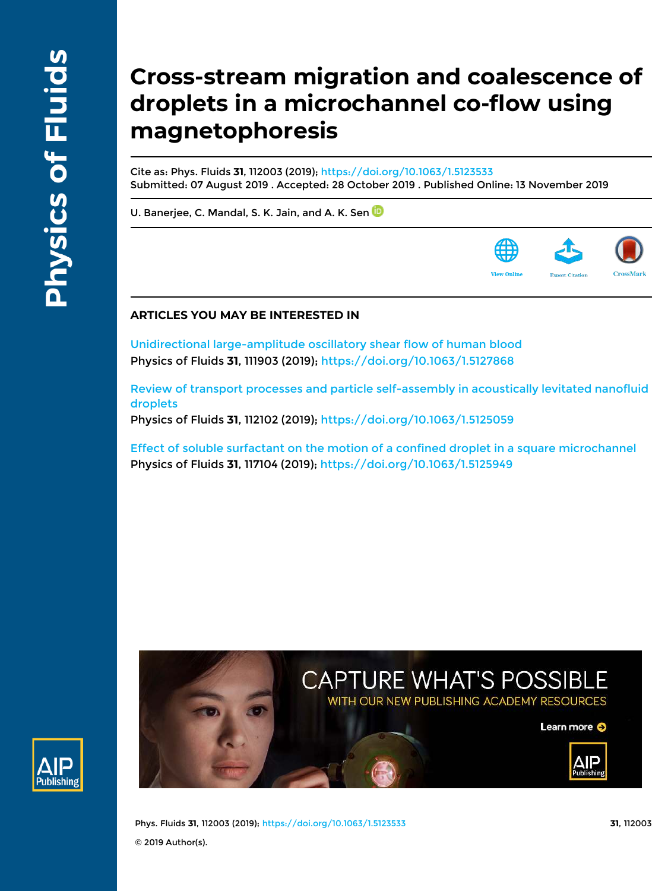# **Cross-stream migration and coalescence of droplets in a microchannel co-flow using magnetophoresis**

Cite as: Phys. Fluids **31**, 112003 (2019); https://doi.org/10.1063/1.5123533 Submitted: 07 August 2019 . Accepted: 28 October 2019 . Published Online: 13 November 2019

U. Banerjee, C. Mandal, S. K. Jain, and A. K. Sen



# **ARTICLES YOU MAY BE INTERESTED IN**

Unidirectional large-amplitude oscillatory shear flow of human blood Physics of Fluids **31**, 111903 (2019); https://doi.org/10.1063/1.5127868

Review of transport processes and particle self-assembly in acoustically levitated nanofluid droplets

Physics of Fluids **31**, 112102 (2019); https://doi.org/10.1063/1.5125059

Effect of soluble surfactant on the motion of a confined droplet in a square microchannel Physics of Fluids **31**, 117104 (2019); https://doi.org/10.1063/1.5125949





Phys. Fluids **31**, 112003 (2019); https://doi.org/10.1063/1.5123533 **31**, 112003 © 2019 Author(s).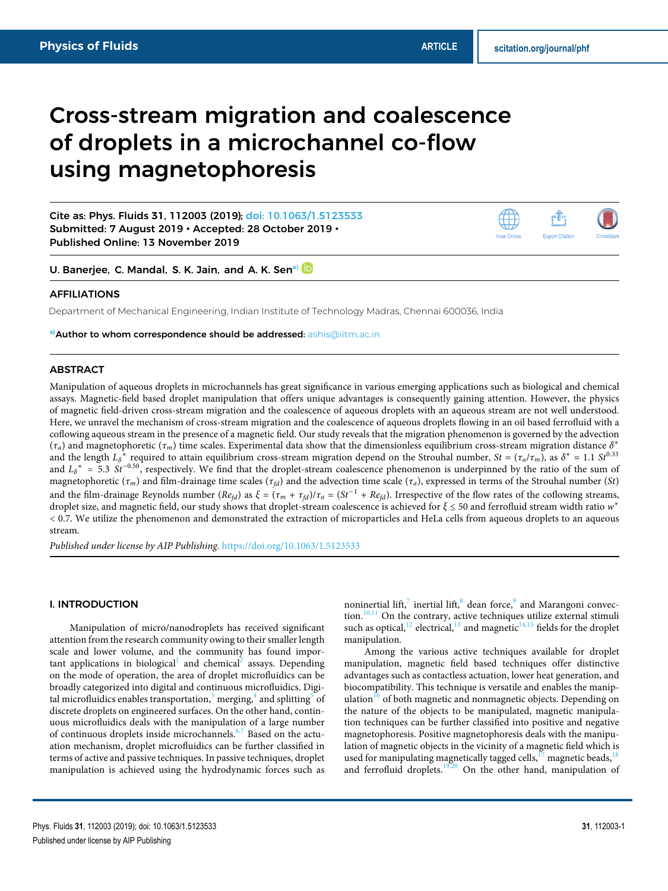rî **Export Citation** 

View Online

# Cross-stream migration and coalescence of droplets in a microchannel co-flow using magnetophoresis

Cite as: Phys. Fluids **31**, 112003 (2019); doi: 10.1063/1.5123533 Submitted: 7 August 2019 • Accepted: 28 October 2019 • Published Online: 13 November 2019

U. Banerjee, C. Mandal, S. K. Jain, and A. K. Sen<sup>a)</sup>

## AFFILIATIONS

Department of Mechanical Engineering, Indian Institute of Technology Madras, Chennai 600036, India

**a)**Author to whom correspondence should be addressed: ashis@iitm.ac.in

# ABSTRACT

Manipulation of aqueous droplets in microchannels has great significance in various emerging applications such as biological and chemical assays. Magnetic-field based droplet manipulation that offers unique advantages is consequently gaining attention. However, the physics of magnetic field-driven cross-stream migration and the coalescence of aqueous droplets with an aqueous stream are not well understood. Here, we unravel the mechanism of cross-stream migration and the coalescence of aqueous droplets flowing in an oil based ferrofluid with a coflowing aqueous stream in the presence of a magnetic field. Our study reveals that the migration phenomenon is governed by the advection (*τa*) and magnetophoretic (*τm*) time scales. Experimental data show that the dimensionless equilibrium cross-stream migration distance *δ* ∗ and the length  $L_{\delta}^*$  required to attain equilibrium cross-stream migration depend on the Strouhal number,  $St = (\tau_a/\tau_m)$ , as  $\delta^* = 1.1$   $St^{0.33}$ and  $L_{\delta}^* = 5.3 \text{ S}t^{-0.50}$ , respectively. We find that the droplet-stream coalescence phenomenon is underpinned by the ratio of the sum of magnetophoretic ( $\tau_m$ ) and film-drainage time scales ( $\tau_f$ ) and the advection time scale ( $\tau_a$ ), expressed in terms of the Strouhal number (*St*) and the film-drainage Reynolds number ( $Re_{fd}$ ) as  $\xi = (\tau_m + \tau_{fd})/\tau_a = (St^{-1} + Re_{fd})$ . Irrespective of the flow rates of the coflowing streams, droplet size, and magnetic field, our study shows that droplet-stream coalescence is achieved for *ξ* ≤ 50 and ferrofluid stream width ratio *w*<sup>\*</sup> < 0.7. We utilize the phenomenon and demonstrated the extraction of microparticles and HeLa cells from aqueous droplets to an aqueous stream.

*Published under license by AIP Publishing.* https://doi.org/10.1063/1.5123533.,

## I. INTRODUCTION

Manipulation of micro/nanodroplets has received significant attention from the research community owing to their smaller length scale and lower volume, and the community has found important applications in biological<sup>1</sup> and chemical<sup>2</sup> assays. Depending on the mode of operation, the area of droplet microfluidics can be broadly categorized into digital and continuous microfluidics. Digital microfluidics enables transportation, $^3$  merging, $^4$  and splitting $^5$  of discrete droplets on engineered surfaces. On the other hand, continuous microfluidics deals with the manipulation of a large number of continuous droplets inside microchannels.<sup>6,7</sup> Based on the actuation mechanism, droplet microfluidics can be further classified in terms of active and passive techniques. In passive techniques, droplet manipulation is achieved using the hydrodynamic forces such as

noninertial lift, $^7$  inertial lift, $^8$  dean force, $^9$  and Marangoni convection. $10,111$  On the contrary, active techniques utilize external stimuli such as optical,<sup>12</sup> electrical,<sup>13</sup> and magnetic<sup>14,15</sup> fields for the droplet manipulation. Among the various active techniques available for droplet

manipulation, magnetic field based techniques offer distinctive advantages such as contactless actuation, lower heat generation, and biocompatibility. This technique is versatile and enables the manipulation<sup>16</sup> of both magnetic and nonmagnetic objects. Depending on the nature of the objects to be manipulated, magnetic manipulation techniques can be further classified into positive and negative magnetophoresis. Positive magnetophoresis deals with the manipulation of magnetic objects in the vicinity of a magnetic field which is used for manipulating magnetically tagged cells, $^{17}$  magnetic beads,  $^{18}$ and ferrofluid droplets. $19,20$  On the other hand, manipulation of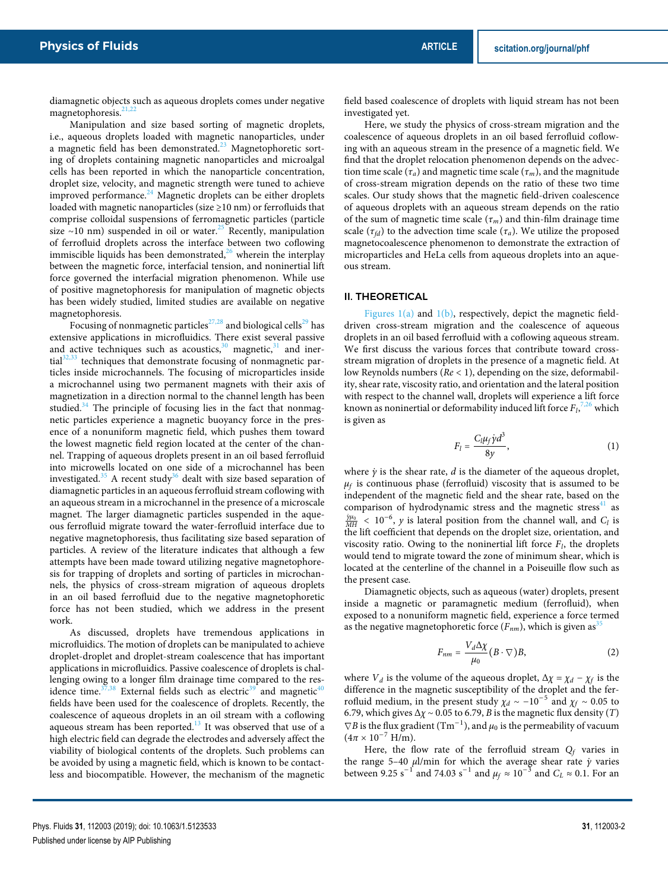diamagnetic objects such as aqueous droplets comes under negative magnetophoresis. $<sup>2</sup>$ </sup>

Manipulation and size based sorting of magnetic droplets, i.e., aqueous droplets loaded with magnetic nanoparticles, under a magnetic field has been demonstrated.<sup>23</sup> Magnetophoretic sorting of droplets containing magnetic nanoparticles and microalgal cells has been reported in which the nanoparticle concentration, droplet size, velocity, and magnetic strength were tuned to achieve improved performance.<sup>24</sup> Magnetic droplets can be either droplets loaded with magnetic nanoparticles (size  $\geq$ 10 nm) or ferrofluids that comprise colloidal suspensions of ferromagnetic particles (particle size ∼10 nm) suspended in oil or water.<sup>25</sup> Recently, manipulation of ferrofluid droplets across the interface between two coflowing immiscible liquids has been demonstrated, $26$  wherein the interplay between the magnetic force, interfacial tension, and noninertial lift force governed the interfacial migration phenomenon. While use of positive magnetophoresis for manipulation of magnetic objects has been widely studied, limited studies are available on negative magnetophoresis.

Focusing of nonmagnetic particles<sup>27,28</sup> and biological cells<sup>29</sup> has extensive applications in microfluidics. There exist several passive and active techniques such as acoustics,  $30 \text{ magnetic}$ ,  $31 \text{ and inertia}$  iner-tial  $32,33 \text{t}$  techniques that demonstrate focusing of nonmagnetic partechniques that demonstrate focusing of nonmagnetic particles inside microchannels. The focusing of microparticles inside a microchannel using two permanent magnets with their axis of magnetization in a direction normal to the channel length has been studied. $34$  The principle of focusing lies in the fact that nonmagnetic particles experience a magnetic buoyancy force in the presence of a nonuniform magnetic field, which pushes them toward the lowest magnetic field region located at the center of the channel. Trapping of aqueous droplets present in an oil based ferrofluid into microwells located on one side of a microchannel has been investigated. $35$  A recent study<sup>36</sup> dealt with size based separation of diamagnetic particles in an aqueous ferrofluid stream coflowing with an aqueous stream in a microchannel in the presence of a microscale magnet. The larger diamagnetic particles suspended in the aqueous ferrofluid migrate toward the water-ferrofluid interface due to negative magnetophoresis, thus facilitating size based separation of particles. A review of the literature indicates that although a few attempts have been made toward utilizing negative magnetophoresis for trapping of droplets and sorting of particles in microchannels, the physics of cross-stream migration of aqueous droplets in an oil based ferrofluid due to the negative magnetophoretic force has not been studied, which we address in the present work.

As discussed, droplets have tremendous applications in microfluidics. The motion of droplets can be manipulated to achieve droplet-droplet and droplet-stream coalescence that has important applications in microfluidics. Passive coalescence of droplets is challenging owing to a longer film drainage time compared to the residence time.<sup>37,38</sup> External fields such as electric<sup>39</sup> and magnetic<sup>40</sup> fields have been used for the coalescence of droplets. Recently, the coalescence of aqueous droplets in an oil stream with a coflowing aqueous stream has been reported. $13$  It was observed that use of a high electric field can degrade the electrodes and adversely affect the viability of biological contents of the droplets. Such problems can be avoided by using a magnetic field, which is known to be contactless and biocompatible. However, the mechanism of the magnetic field based coalescence of droplets with liquid stream has not been investigated yet.

Here, we study the physics of cross-stream migration and the coalescence of aqueous droplets in an oil based ferrofluid coflowing with an aqueous stream in the presence of a magnetic field. We find that the droplet relocation phenomenon depends on the advection time scale ( $\tau_a$ ) and magnetic time scale ( $\tau_m$ ), and the magnitude of cross-stream migration depends on the ratio of these two time scales. Our study shows that the magnetic field-driven coalescence of aqueous droplets with an aqueous stream depends on the ratio of the sum of magnetic time scale  $(\tau_m)$  and thin-film drainage time scale ( $\tau_{fd}$ ) to the advection time scale ( $\tau_a$ ). We utilize the proposed magnetocoalescence phenomenon to demonstrate the extraction of microparticles and HeLa cells from aqueous droplets into an aqueous stream.

#### II. THEORETICAL

Figures  $1(a)$  and  $1(b)$ , respectively, depict the magnetic fielddriven cross-stream migration and the coalescence of aqueous droplets in an oil based ferrofluid with a coflowing aqueous stream. We first discuss the various forces that contribute toward crossstream migration of droplets in the presence of a magnetic field. At low Reynolds numbers (*Re* < 1), depending on the size, deformability, shear rate, viscosity ratio, and orientation and the lateral position with respect to the channel wall, droplets will experience a lift force known as noninertial or deformability induced lift force  $F_l$ ,  $^{7,26}$  which is given as

$$
F_l = \frac{C_l \mu_f \dot{\gamma} d^3}{8y},\tag{1}
$$

where *γ*˙ is the shear rate, *d* is the diameter of the aqueous droplet, *μf* is continuous phase (ferrofluid) viscosity that is assumed to be independent of the magnetic field and the shear rate, based on the comparison of hydrodynamic stress and the magnetic stress<sup>41</sup> as  $\frac{\dot{\gamma}\mu_0}{MH}$  < 10<sup>-6</sup>, *y* is lateral position from the channel wall, and *C*<sub>*l*</sub> is the lift coefficient that depends on the droplet size, orientation, and viscosity ratio. Owing to the noninertial lift force *F<sup>l</sup>* , the droplets would tend to migrate toward the zone of minimum shear, which is located at the centerline of the channel in a Poiseuille flow such as the present case.

Diamagnetic objects, such as aqueous (water) droplets, present inside a magnetic or paramagnetic medium (ferrofluid), when exposed to a nonuniform magnetic field, experience a force termed as the negative magnetophoretic force  $(F_{nm})$ , which is given as<sup>35</sup>

$$
F_{nm} = \frac{V_d \Delta \chi}{\mu_0} (B \cdot \nabla) B, \qquad (2)
$$

where  $V_d$  is the volume of the aqueous droplet,  $\Delta \chi = \chi_d - \chi_f$  is the difference in the magnetic susceptibility of the droplet and the ferrofluid medium, in the present study  $\chi_d \sim -10^{-5}$  and  $\chi_f \sim 0.05$  to 6.79, which gives  $\Delta \chi \sim 0.05$  to 6.79, *B* is the magnetic flux density (*T*)  $\nabla B$  is the flux gradient (Tm<sup>-1</sup>), and  $\mu_0$  is the permeability of vacuum  $(4\pi \times 10^{-7} \text{ H/m}).$ 

Here, the flow rate of the ferrofluid stream  $Q_f$  varies in the range 5–40 *μ*l/min for which the average shear rate *γ*˙ varies between 9.25 s<sup>-1</sup> and 74.03 s<sup>-1</sup> and  $\mu_f \approx 10^{-3}$  and  $C_L \approx 0.1$ . For an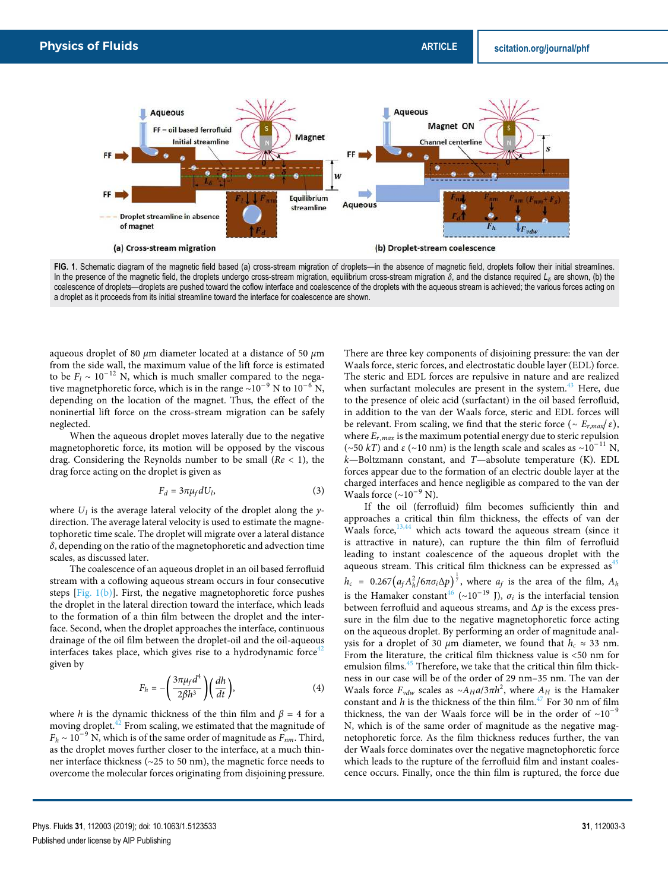

**FIG. 1**. Schematic diagram of the magnetic field based (a) cross-stream migration of droplets—in the absence of magnetic field, droplets follow their initial streamlines. In the presence of the magnetic field, the droplets undergo cross-stream migration, equilibrium cross-stream migration *δ*, and the distance required *L<sup>δ</sup>* are shown, (b) the coalescence of droplets—droplets are pushed toward the coflow interface and coalescence of the droplets with the aqueous stream is achieved; the various forces acting on a droplet as it proceeds from its initial streamline toward the interface for coalescence are shown.

aqueous droplet of 80 *μ*m diameter located at a distance of 50 *μ*m from the side wall, the maximum value of the lift force is estimated to be  $F_l \sim 10^{-12}$  N, which is much smaller compared to the negative magnetphoretic force, which is in the range ~10<sup>-9</sup> N to 10<sup>-6</sup> N, depending on the location of the magnet. Thus, the effect of the noninertial lift force on the cross-stream migration can be safely neglected.

When the aqueous droplet moves laterally due to the negative magnetophoretic force, its motion will be opposed by the viscous drag. Considering the Reynolds number to be small (*Re* < 1), the drag force acting on the droplet is given as

$$
F_d = 3\pi\mu_f dU_l, \tag{3}
$$

where  $U_l$  is the average lateral velocity of the droplet along the  $y$ direction. The average lateral velocity is used to estimate the magnetophoretic time scale. The droplet will migrate over a lateral distance *δ*, depending on the ratio of the magnetophoretic and advection time scales, as discussed later.

The coalescence of an aqueous droplet in an oil based ferrofluid stream with a coflowing aqueous stream occurs in four consecutive steps [Fig. 1(b)]. First, the negative magnetophoretic force pushes the droplet in the lateral direction toward the interface, which leads to the formation of a thin film between the droplet and the interface. Second, when the droplet approaches the interface, continuous drainage of the oil film between the droplet-oil and the oil-aqueous interfaces takes place, which gives rise to a hydrodynamic force<sup>42</sup> given by

$$
F_h = -\left(\frac{3\pi\mu_f d^4}{2\beta h^3}\right) \left(\frac{dh}{dt}\right),\tag{4}
$$

where *h* is the dynamic thickness of the thin film and  $\beta = 4$  for a moving droplet.<sup>42</sup> From scaling, we estimated that the magnitude of  $F_h \sim 10^{-9}$  N, which is of the same order of magnitude as  $F_{nm}$ . Third, as the droplet moves further closer to the interface, at a much thinner interface thickness (∼25 to 50 nm), the magnetic force needs to overcome the molecular forces originating from disjoining pressure. There are three key components of disjoining pressure: the van der Waals force, steric forces, and electrostatic double layer (EDL) force. The steric and EDL forces are repulsive in nature and are realized when surfactant molecules are present in the system.<sup>43</sup> Here, due to the presence of oleic acid (surfactant) in the oil based ferrofluid, in addition to the van der Waals force, steric and EDL forces will be relevant. From scaling, we find that the steric force (∼ *Er*,*max*/ *ε*), where *Er*,*max* is the maximum potential energy due to steric repulsion (∼50 *kT*) and  $ε$  (~10 nm) is the length scale and scales as ~10<sup>-11</sup> N, *k*—Boltzmann constant, and *T*—absolute temperature (K). EDL forces appear due to the formation of an electric double layer at the charged interfaces and hence negligible as compared to the van der Waals force  $(\sim 10^{-9} \text{ N})$ .

If the oil (ferrofluid) film becomes sufficiently thin and approaches a critical thin film thickness, the effects of van der Waals force,  $13,44$  which acts toward the aqueous stream (since it is attractive in nature), can rupture the thin film of ferrofluid leading to instant coalescence of the aqueous droplet with the aqueous stream. This critical film thickness can be expressed as  $45$ *h*<sub>*c*</sub> = 0.267 $(a_f A_h^2 / 6\pi \sigma_i \Delta p)^{\frac{1}{7}}$ , where *a<sub>f</sub>* is the area of the film, *A<sub>h</sub>* is the Hamaker constant<sup>46</sup> (∼10<sup>-19</sup> J),  $\sigma$ <sup>*i*</sup> is the interfacial tension between ferrofluid and aqueous streams, and ∆*p* is the excess pressure in the film due to the negative magnetophoretic force acting on the aqueous droplet. By performing an order of magnitude analysis for a droplet of 30  $\mu$ m diameter, we found that  $h_c \approx 33$  nm. From the literature, the critical film thickness value is <50 nm for emulsion films.<sup>45</sup> Therefore, we take that the critical thin film thickness in our case will be of the order of 29 nm–35 nm. The van der Waals force *Fvdw* scales as ∼*AHa*/3*πh* 2 , where *A<sup>H</sup>* is the Hamaker constant and  $h$  is the thickness of the thin film.<sup>47</sup> For 30 nm of film thickness, the van der Waals force will be in the order of  $\sim 10^{-5}$ N, which is of the same order of magnitude as the negative magnetophoretic force. As the film thickness reduces further, the van der Waals force dominates over the negative magnetophoretic force which leads to the rupture of the ferrofluid film and instant coalescence occurs. Finally, once the thin film is ruptured, the force due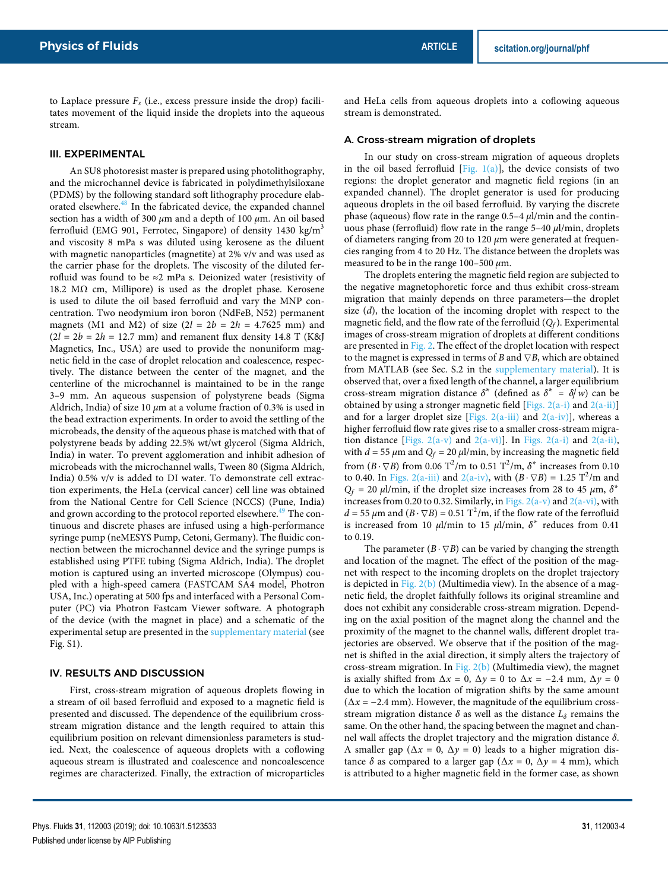to Laplace pressure  $F_s$  (i.e., excess pressure inside the drop) facilitates movement of the liquid inside the droplets into the aqueous stream.

#### III. EXPERIMENTAL

An SU8 photoresist master is prepared using photolithography, and the microchannel device is fabricated in polydimethylsiloxane (PDMS) by the following standard soft lithography procedure elaborated elsewhere.<sup>48</sup> In the fabricated device, the expanded channel section has a width of 300 *μ*m and a depth of 100 *μ*m. An oil based ferrofluid (EMG 901, Ferrotec, Singapore) of density 1430 kg/m<sup>3</sup> and viscosity 8 mPa s was diluted using kerosene as the diluent with magnetic nanoparticles (magnetite) at 2% v/v and was used as the carrier phase for the droplets. The viscosity of the diluted ferrofluid was found to be ≈2 mPa s. Deionized water (resistivity of 18.2 MΩ cm, Millipore) is used as the droplet phase. Kerosene is used to dilute the oil based ferrofluid and vary the MNP concentration. Two neodymium iron boron (NdFeB, N52) permanent magnets (M1 and M2) of size ( $2l = 2b = 2h = 4.7625$  mm) and  $(2l = 2b = 2h = 12.7$  mm) and remanent flux density 14.8 T (K&J) Magnetics, Inc., USA) are used to provide the nonuniform magnetic field in the case of droplet relocation and coalescence, respectively. The distance between the center of the magnet, and the centerline of the microchannel is maintained to be in the range 3–9 mm. An aqueous suspension of polystyrene beads (Sigma Aldrich, India) of size 10  $\mu{\rm m}$  at a volume fraction of 0.3% is used in the bead extraction experiments. In order to avoid the settling of the microbeads, the density of the aqueous phase is matched with that of polystyrene beads by adding 22.5% wt/wt glycerol (Sigma Aldrich, India) in water. To prevent agglomeration and inhibit adhesion of microbeads with the microchannel walls, Tween 80 (Sigma Aldrich, India) 0.5% v/v is added to DI water. To demonstrate cell extraction experiments, the HeLa (cervical cancer) cell line was obtained from the National Centre for Cell Science (NCCS) (Pune, India) and grown according to the protocol reported elsewhere.<sup>49</sup> The continuous and discrete phases are infused using a high-performance syringe pump (neMESYS Pump, Cetoni, Germany). The fluidic connection between the microchannel device and the syringe pumps is established using PTFE tubing (Sigma Aldrich, India). The droplet motion is captured using an inverted microscope (Olympus) coupled with a high-speed camera (FASTCAM SA4 model, Photron USA, Inc.) operating at 500 fps and interfaced with a Personal Computer (PC) via Photron Fastcam Viewer software. A photograph of the device (with the magnet in place) and a schematic of the experimental setup are presented in the supplementary material (see Fig. S1).

#### IV. RESULTS AND DISCUSSION

First, cross-stream migration of aqueous droplets flowing in a stream of oil based ferrofluid and exposed to a magnetic field is presented and discussed. The dependence of the equilibrium crossstream migration distance and the length required to attain this equilibrium position on relevant dimensionless parameters is studied. Next, the coalescence of aqueous droplets with a coflowing aqueous stream is illustrated and coalescence and noncoalescence regimes are characterized. Finally, the extraction of microparticles and HeLa cells from aqueous droplets into a coflowing aqueous stream is demonstrated.

#### A. Cross-stream migration of droplets

In our study on cross-stream migration of aqueous droplets in the oil based ferrofluid  $[Fig. 1(a)]$ , the device consists of two regions: the droplet generator and magnetic field regions (in an expanded channel). The droplet generator is used for producing aqueous droplets in the oil based ferrofluid. By varying the discrete phase (aqueous) flow rate in the range 0.5–4 *μ*l/min and the continuous phase (ferrofluid) flow rate in the range 5–40 *μ*l/min, droplets of diameters ranging from 20 to 120 *μ*m were generated at frequencies ranging from 4 to 20 Hz. The distance between the droplets was measured to be in the range 100–500 *μ*m.

The droplets entering the magnetic field region are subjected to the negative magnetophoretic force and thus exhibit cross-stream migration that mainly depends on three parameters—the droplet size (*d*), the location of the incoming droplet with respect to the magnetic field, and the flow rate of the ferrofluid  $(Q_f)$ . Experimental images of cross-stream migration of droplets at different conditions are presented in Fig. 2. The effect of the droplet location with respect to the magnet is expressed in terms of *B* and ∇*B*, which are obtained from MATLAB (see Sec. S.2 in the supplementary material). It is observed that, over a fixed length of the channel, a larger equilibrium cross-stream migration distance  $\delta^*$  (defined as  $\delta^* = \delta/w$ ) can be obtained by using a stronger magnetic field [Figs.  $2(a-i)$  and  $2(a-ii)$ ] and for a larger droplet size [Figs.  $2(a-iii)$  and  $2(a-iv)$ ], whereas a higher ferrofluid flow rate gives rise to a smaller cross-stream migration distance [Figs.  $2(a-v)$  and  $2(a-vi)$ ]. In Figs.  $2(a-i)$  and  $2(a-ii)$ , with  $d = 55 \ \mu \text{m}$  and  $Q_f = 20 \ \mu \text{l/min}$ , by increasing the magnetic field from  $(B \cdot \nabla B)$  from 0.06 T<sup>2</sup>/m to 0.51 T<sup>2</sup>/m,  $\delta^*$  increases from 0.10 to 0.40. In Figs. 2(a-iii) and 2(a-iv), with  $(B \cdot \nabla B) = 1.25 \text{ T}^2/\text{m}$  and  $Q_f$  = 20 *μl/min, if the droplet size increases from 28 to 45 <i>μm, δ*<sup>\*</sup> increases from 0.20 to 0.32. Similarly, in Figs.  $2(a-v)$  and  $2(a-vi)$ , with  $d = 55 \mu \text{m}$  and  $(B \cdot \nabla B) = 0.51 \text{ T}^2/\text{m}$ , if the flow rate of the ferrofluid is increased from 10  $\mu$ l/min to 15  $\mu$ l/min,  $\delta^*$  reduces from 0.41 to 0.19.

The parameter  $(B \cdot \nabla B)$  can be varied by changing the strength and location of the magnet. The effect of the position of the magnet with respect to the incoming droplets on the droplet trajectory is depicted in Fig.  $2(b)$  (Multimedia view). In the absence of a magnetic field, the droplet faithfully follows its original streamline and does not exhibit any considerable cross-stream migration. Depending on the axial position of the magnet along the channel and the proximity of the magnet to the channel walls, different droplet trajectories are observed. We observe that if the position of the magnet is shifted in the axial direction, it simply alters the trajectory of cross-stream migration. In Fig. 2(b) (Multimedia view), the magnet is axially shifted from  $\Delta x = 0$ ,  $\Delta y = 0$  to  $\Delta x = -2.4$  mm,  $\Delta y = 0$ due to which the location of migration shifts by the same amount  $(\Delta x = -2.4$  mm). However, the magnitude of the equilibrium crossstream migration distance  $δ$  as well as the distance  $L<sub>δ</sub>$  remains the same. On the other hand, the spacing between the magnet and channel wall affects the droplet trajectory and the migration distance *δ*. A smaller gap ( $\Delta x = 0$ ,  $\Delta y = 0$ ) leads to a higher migration distance *δ* as compared to a larger gap ( $Δx = 0$ ,  $Δy = 4$  mm), which is attributed to a higher magnetic field in the former case, as shown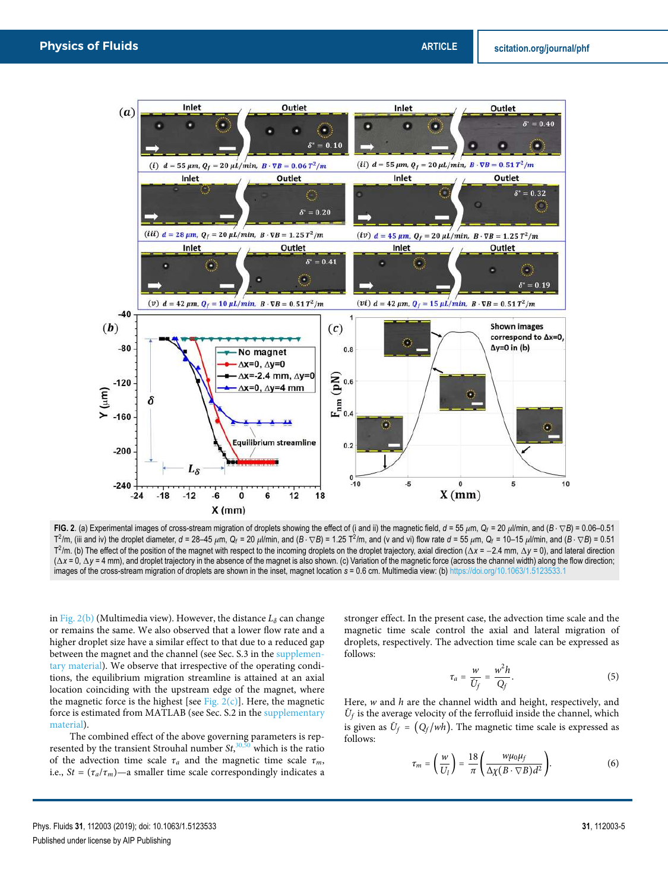

FIG. 2. (a) Experimental images of cross-stream migration of droplets showing the effect of (i and ii) the magnetic field,  $d = 55 \mu m$ ,  $Q_f = 20 \mu l/m$ in, and  $(B \cdot \nabla B) = 0.06 - 0.51$ T<sup>2</sup>/m, (iii and iv) the droplet diameter,  $d = 28-45 \ \mu$ m,  $Q_f = 20 \ \mu$ /min, and  $(B \cdot \nabla B) = 1.25$  T<sup>2</sup>/m, and (v and vi) flow rate  $d = 55 \ \mu$ m,  $Q_f = 10-15 \ \mu$ /min, and  $(B \cdot \nabla B) = 0.51$ T<sup>2</sup>/m. (b) The effect of the position of the magnet with respect to the incoming droplets on the droplet trajectory, axial direction ( $\Delta x = -2.4$  mm,  $\Delta y = 0$ ), and lateral direction (∆*x* = 0, ∆*y* = 4 mm), and droplet trajectory in the absence of the magnet is also shown. (c) Variation of the magnetic force (across the channel width) along the flow direction; images of the cross-stream migration of droplets are shown in the inset, magnet location *s* = 0.6 cm. Multimedia view: (b) https://doi.org/10.1063/1.5123533.1

in Fig.  $2(b)$  (Multimedia view). However, the distance  $L_{\delta}$  can change or remains the same. We also observed that a lower flow rate and a higher droplet size have a similar effect to that due to a reduced gap between the magnet and the channel (see Sec. S.3 in the supplementary material). We observe that irrespective of the operating conditions, the equilibrium migration streamline is attained at an axial location coinciding with the upstream edge of the magnet, where the magnetic force is the highest [see Fig.  $2(c)$ ]. Here, the magnetic force is estimated from MATLAB (see Sec. S.2 in the supplementary material).

The combined effect of the above governing parameters is represented by the transient Strouhal number *St*,  $50$  which is the ratio of the advection time scale  $\tau_a$  and the magnetic time scale  $\tau_m$ , i.e.,  $St = (\tau_a/\tau_m)$ —a smaller time scale correspondingly indicates a stronger effect. In the present case, the advection time scale and the magnetic time scale control the axial and lateral migration of droplets, respectively. The advection time scale can be expressed as follows:

$$
\tau_a = \frac{w}{\bar{U}_f} = \frac{w^2 h}{Q_f}.\tag{5}
$$

Here, *w* and *h* are the channel width and height, respectively, and  $\bar{U}_f$  is the average velocity of the ferrofluid inside the channel, which is given as  $\bar{U}_f$  =  $\left({Q_f}/{wh}\right)$ . The magnetic time scale is expressed as follows:

$$
\tau_m = \left(\frac{w}{U_l}\right) = \frac{18}{\pi} \left(\frac{w\mu_0\mu_f}{\Delta \chi (B \cdot \nabla B) d^2}\right).
$$
 (6)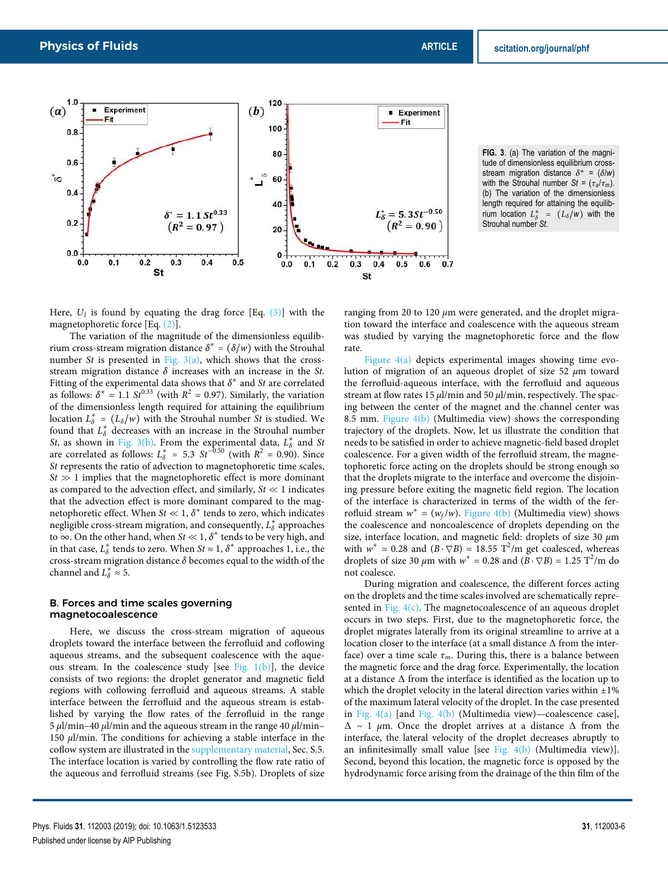

**FIG. 3**. (a) The variation of the magnitude of dimensionless equilibrium crossstream migration distance *δ* ∗ = (*δ*/*w*) with the Strouhal number *St* =  $(\tau_a/\tau_m)$ . (b) The variation of the dimensionless length required for attaining the equilibrium location  $L^*_{\delta} = (L_{\delta}/w)$  with the Strouhal number *St*.

Here,  $U_l$  is found by equating the drag force [Eq.  $(3)$ ] with the magnetophoretic force [Eq. (2)].

The variation of the magnitude of the dimensionless equilibrium cross-stream migration distance  $\delta^* = (\delta/w)$  with the Strouhal number *St* is presented in Fig.  $3(a)$ , which shows that the crossstream migration distance *δ* increases with an increase in the *St*. Fitting of the experimental data shows that *δ* ∗ and *St* are correlated as follows:  $\delta^* = 1.1$  *St*<sup>0.33</sup> (with  $R^2 = 0.97$ ). Similarly, the variation of the dimensionless length required for attaining the equilibrium location  $L_{\delta}^{*} = (L_{\delta}/w)$  with the Strouhal number *St* is studied. We found that  $L_{\delta}^{*}$  decreases with an increase in the Strouhal number *St*, as shown in Fig. 3(b). From the experimental data,  $L^*_{\delta}$  and *St* are correlated as follows:  $L^*_{\delta}$  = 5.3  $St^{-0.50}$  (with  $R^2$  = 0.90). Since *St* represents the ratio of advection to magnetophoretic time scales,  $St \gg 1$  implies that the magnetophoretic effect is more dominant as compared to the advection effect, and similarly, *St* ≪ 1 indicates that the advection effect is more dominant compared to the magnetophoretic effect. When  $St \ll 1$ ,  $\delta^*$  tends to zero, which indicates negligible cross-stream migration, and consequently, *L* ∗ *δ* approaches to  $\infty$ . On the other hand, when *St*  $\ll 1$ ,  $\delta^*$  tends to be very high, and in that case,  $L^*_{\delta}$  tends to zero. When  $St \approx 1$ ,  $\delta^*$  approaches 1, i.e., the cross-stream migration distance *δ* becomes equal to the width of the channel and  $L_{\delta}^* \approx 5$ .

#### B. Forces and time scales governing magnetocoalescence

Here, we discuss the cross-stream migration of aqueous droplets toward the interface between the ferrofluid and coflowing aqueous streams, and the subsequent coalescence with the aqueous stream. In the coalescence study [see Fig.  $1(b)$ ], the device consists of two regions: the droplet generator and magnetic field regions with coflowing ferrofluid and aqueous streams. A stable interface between the ferrofluid and the aqueous stream is established by varying the flow rates of the ferrofluid in the range 5 *μ*l/min–40 *μ*l/min and the aqueous stream in the range 40 *μ*l/min– 150 *μ*l/min. The conditions for achieving a stable interface in the coflow system are illustrated in the supplementary material, Sec. S.5. The interface location is varied by controlling the flow rate ratio of the aqueous and ferrofluid streams (see Fig. S.5b). Droplets of size ranging from 20 to 120 *μ*m were generated, and the droplet migration toward the interface and coalescence with the aqueous stream was studied by varying the magnetophoretic force and the flow rate.

Figure  $4(a)$  depicts experimental images showing time evolution of migration of an aqueous droplet of size 52 *μ*m toward the ferrofluid-aqueous interface, with the ferrofluid and aqueous stream at flow rates 15 *μ*l/min and 50 *μ*l/min, respectively. The spacing between the center of the magnet and the channel center was 8.5 mm. Figure 4(b) (Multimedia view) shows the corresponding trajectory of the droplets. Now, let us illustrate the condition that needs to be satisfied in order to achieve magnetic-field based droplet coalescence. For a given width of the ferrofluid stream, the magnetophoretic force acting on the droplets should be strong enough so that the droplets migrate to the interface and overcome the disjoining pressure before exiting the magnetic field region. The location of the interface is characterized in terms of the width of the ferrofluid stream  $w^* = (w_f/w)$ . Figure 4(b) (Multimedia view) shows the coalescence and noncoalescence of droplets depending on the size, interface location, and magnetic field: droplets of size 30 *μ*m with  $w^* = 0.28$  and  $(B \cdot \nabla B) = 18.55$  T<sup>2</sup>/m get coalesced, whereas droplets of size 30  $\mu$ m with  $w^* = 0.28$  and  $(B \cdot \nabla B) = 1.25$  T<sup>2</sup>/m do not coalesce.

During migration and coalescence, the different forces acting on the droplets and the time scales involved are schematically represented in Fig.  $4(c)$ . The magnetocoalescence of an aqueous droplet occurs in two steps. First, due to the magnetophoretic force, the droplet migrates laterally from its original streamline to arrive at a location closer to the interface (at a small distance ∆ from the interface) over a time scale  $\tau_m$ . During this, there is a balance between the magnetic force and the drag force. Experimentally, the location at a distance ∆ from the interface is identified as the location up to which the droplet velocity in the lateral direction varies within  $\pm 1\%$ of the maximum lateral velocity of the droplet. In the case presented in Fig. 4(a) [and Fig. 4(b) (Multimedia view)—coalescence case], ∆ ∼ 1 *μ*m. Once the droplet arrives at a distance ∆ from the interface, the lateral velocity of the droplet decreases abruptly to an infinitesimally small value [see Fig.  $4(b)$  (Multimedia view)]. Second, beyond this location, the magnetic force is opposed by the hydrodynamic force arising from the drainage of the thin film of the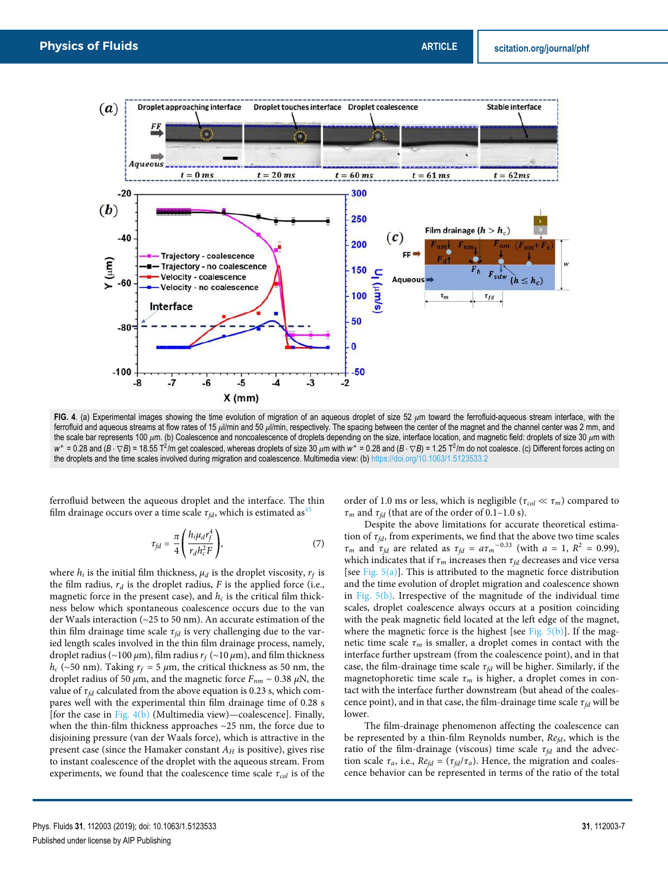

**FIG. 4**. (a) Experimental images showing the time evolution of migration of an aqueous droplet of size 52 *μ*m toward the ferrofluid-aqueous stream interface, with the ferrofluid and aqueous streams at flow rates of 15 *μ*l/min and 50 *μ*l/min, respectively. The spacing between the center of the magnet and the channel center was 2 mm, and the scale bar represents 100 *μ*m. (b) Coalescence and noncoalescence of droplets depending on the size, interface location, and magnetic field: droplets of size 30 *μ*m with *w* \* = 0.28 and (*B* ⋅ ∇*B*) = 18.55 T<sup>2</sup>/m get coalesced, whereas droplets of size 30 *μ*m with *w* \* = 0.28 and (*B* ⋅ ∇*B*) = 1.25 T<sup>2</sup>/m do not coalesce. (c) Different forces acting on the droplets and the time scales involved during migration and coalescence. Multimedia view: (b) https://doi.org/10.1063/1.5123533.2

ferrofluid between the aqueous droplet and the interface. The thin film drainage occurs over a time scale  $\tau_{fd}$ , which is estimated as<sup>4</sup>

$$
\tau_{fd} = \frac{\pi}{4} \left( \frac{h_i \mu_d r_f^4}{r_d h_c^2 F} \right),\tag{7}
$$

where  $h_i$  is the initial film thickness,  $\mu_d$  is the droplet viscosity,  $r_f$  is the film radius,  $r_d$  is the droplet radius,  $F$  is the applied force (i.e., magnetic force in the present case), and  $h_c$  is the critical film thickness below which spontaneous coalescence occurs due to the van der Waals interaction (∼25 to 50 nm). An accurate estimation of the thin film drainage time scale  $\tau_{fd}$  is very challenging due to the varied length scales involved in the thin film drainage process, namely, droplet radius (∼100 *μ*m), film radius*r<sup>f</sup>* (∼10 *μ*m), and film thickness *h*<sub>*c*</sub> (∼50 nm). Taking  $r_f$  = 5  $\mu$ m, the critical thickness as 50 nm, the droplet radius of 50  $\mu$ m, and the magnetic force  $F_{nm} \sim 0.38 \mu$ N, the value of  $\tau_{fd}$  calculated from the above equation is 0.23 s, which compares well with the experimental thin film drainage time of 0.28 s [for the case in Fig. 4(b) (Multimedia view)—coalescence]. Finally, when the thin-film thickness approaches ∼25 nm, the force due to disjoining pressure (van der Waals force), which is attractive in the present case (since the Hamaker constant  $A_H$  is positive), gives rise to instant coalescence of the droplet with the aqueous stream. From experiments, we found that the coalescence time scale *τcol* is of the order of 1.0 ms or less, which is negligible ( $\tau_{col} \ll \tau_m$ ) compared to  $\tau_m$  and  $\tau_{fd}$  (that are of the order of 0.1–1.0 s).

Despite the above limitations for accurate theoretical estimation of  $\tau_{fd}$ , from experiments, we find that the above two time scales  $\tau_m$  and  $\tau_{fd}$  are related as  $\tau_{fd} = a{\tau_m}^{-0.33}$  (with *a* = 1, *R*<sup>2</sup> = 0.99), which indicates that if  $\tau_m$  increases then  $\tau_d$  decreases and vice versa [see Fig.  $5(a)$ ]. This is attributed to the magnetic force distribution and the time evolution of droplet migration and coalescence shown in Fig.  $5(b)$ . Irrespective of the magnitude of the individual time scales, droplet coalescence always occurs at a position coinciding with the peak magnetic field located at the left edge of the magnet, where the magnetic force is the highest [see Fig.  $5(b)$ ]. If the magnetic time scale  $\tau_m$  is smaller, a droplet comes in contact with the interface further upstream (from the coalescence point), and in that case, the film-drainage time scale *τfd* will be higher. Similarly, if the magnetophoretic time scale  $\tau_m$  is higher, a droplet comes in contact with the interface further downstream (but ahead of the coalescence point), and in that case, the film-drainage time scale  $\tau_{fd}$  will be lower.

The film-drainage phenomenon affecting the coalescence can be represented by a thin-film Reynolds number, *Refd*, which is the ratio of the film-drainage (viscous) time scale  $\tau_{fd}$  and the advection scale  $\tau_a$ , i.e.,  $Re_{fd} = (\tau_{fd}/\tau_a)$ . Hence, the migration and coalescence behavior can be represented in terms of the ratio of the total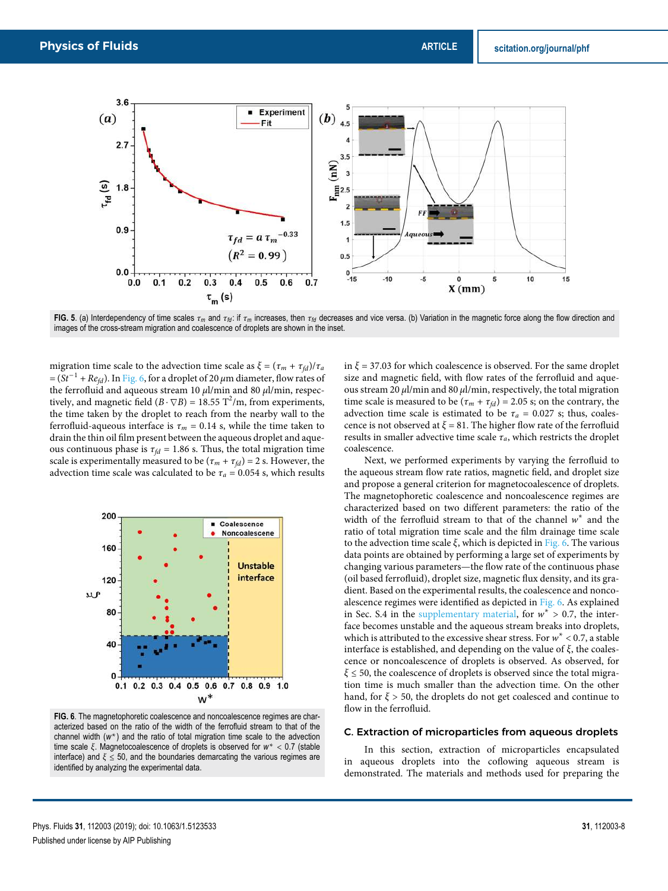

FIG. 5. (a) Interdependency of time scales  $\tau_m$  and  $\tau_m$ : if  $\tau_m$  increases, then  $\tau_m$  decreases and vice versa. (b) Variation in the magnetic force along the flow direction and images of the cross-stream migration and coalescence of droplets are shown in the inset.

migration time scale to the advection time scale as  $\zeta = (\tau_m + \tau_{fd})/\tau_a$  $= (St^{-1} + Re_{fd})$ . In Fig. 6, for a droplet of 20  $\mu$ m diameter, flow rates of the ferrofluid and aqueous stream 10 *μ*l/min and 80 *μ*l/min, respectively, and magnetic field  $(B \cdot \nabla B) = 18.55 \text{ T}^2/\text{m}$ , from experiments, the time taken by the droplet to reach from the nearby wall to the ferrofluid-aqueous interface is  $\tau_m = 0.14$  s, while the time taken to drain the thin oil film present between the aqueous droplet and aqueous continuous phase is  $\tau_{fd} = 1.86$  s. Thus, the total migration time scale is experimentally measured to be  $(\tau_m + \tau_{fd}) = 2$  s. However, the advection time scale was calculated to be  $\tau_a = 0.054$  s, which results



**FIG. 6**. The magnetophoretic coalescence and noncoalescence regimes are characterized based on the ratio of the width of the ferrofluid stream to that of the channel width (w<sup>\*</sup>) and the ratio of total migration time scale to the advection time scale *ξ*. Magnetocoalescence of droplets is observed for *w* <sup>∗</sup> < 0.7 (stable interface) and  $\xi \le 50$ , and the boundaries demarcating the various regimes are identified by analyzing the experimental data.

in  $\xi$  = 37.03 for which coalescence is observed. For the same droplet size and magnetic field, with flow rates of the ferrofluid and aqueous stream 20 *μ*l/min and 80 *μ*l/min, respectively, the total migration time scale is measured to be  $(\tau_m + \tau_{fd}) = 2.05$  s; on the contrary, the advection time scale is estimated to be  $\tau_a = 0.027$  s; thus, coalescence is not observed at  $\xi$  = 81. The higher flow rate of the ferrofluid results in smaller advective time scale  $\tau_a$ , which restricts the droplet coalescence.

Next, we performed experiments by varying the ferrofluid to the aqueous stream flow rate ratios, magnetic field, and droplet size and propose a general criterion for magnetocoalescence of droplets. The magnetophoretic coalescence and noncoalescence regimes are characterized based on two different parameters: the ratio of the width of the ferrofluid stream to that of the channel  $w^*$  and the ratio of total migration time scale and the film drainage time scale to the advection time scale *ξ*, which is depicted in Fig. 6. The various data points are obtained by performing a large set of experiments by changing various parameters—the flow rate of the continuous phase (oil based ferrofluid), droplet size, magnetic flux density, and its gradient. Based on the experimental results, the coalescence and noncoalescence regimes were identified as depicted in Fig. 6. As explained in Sec. S.4 in the supplementary material, for  $w^* > 0.7$ , the interface becomes unstable and the aqueous stream breaks into droplets, which is attributed to the excessive shear stress. For  $w^* < 0.7$ , a stable interface is established, and depending on the value of *ξ*, the coalescence or noncoalescence of droplets is observed. As observed, for *ξ* ≤ 50, the coalescence of droplets is observed since the total migration time is much smaller than the advection time. On the other hand, for  $\xi > 50$ , the droplets do not get coalesced and continue to flow in the ferrofluid.

#### C. Extraction of microparticles from aqueous droplets

In this section, extraction of microparticles encapsulated in aqueous droplets into the coflowing aqueous stream is demonstrated. The materials and methods used for preparing the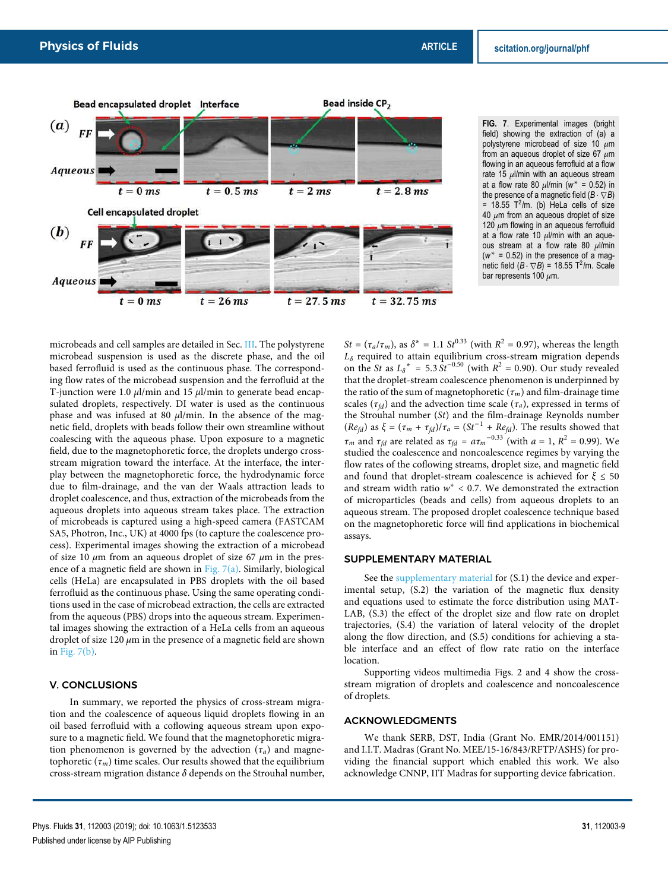

**FIG. 7**. Experimental images (bright field) showing the extraction of (a) a polystyrene microbead of size 10 *μ*m from an aqueous droplet of size 67 *μ*m flowing in an aqueous ferrofluid at a flow rate 15 *μ*l/min with an aqueous stream at a flow rate 80 *μ*l/min (*w* ∗ = 0.52) in the presence of a magnetic field  $(B \cdot \nabla B)$  $= 18.55$  T<sup>2</sup>/m. (b) HeLa cells of size 40 *μ*m from an aqueous droplet of size 120 *μ*m flowing in an aqueous ferrofluid at a flow rate 10 *μ*l/min with an aqueous stream at a flow rate 80 *μ*l/min  $(w^* = 0.52)$  in the presence of a magnetic field  $(B \cdot \nabla B)$  = 18.55 T<sup>2</sup>/m. Scale bar represents 100 *μ*m.

microbeads and cell samples are detailed in Sec. III. The polystyrene microbead suspension is used as the discrete phase, and the oil based ferrofluid is used as the continuous phase. The corresponding flow rates of the microbead suspension and the ferrofluid at the T-junction were 1.0 *μ*l/min and 15 *μ*l/min to generate bead encapsulated droplets, respectively. DI water is used as the continuous phase and was infused at 80 *μ*l/min. In the absence of the magnetic field, droplets with beads follow their own streamline without coalescing with the aqueous phase. Upon exposure to a magnetic field, due to the magnetophoretic force, the droplets undergo crossstream migration toward the interface. At the interface, the interplay between the magnetophoretic force, the hydrodynamic force due to film-drainage, and the van der Waals attraction leads to droplet coalescence, and thus, extraction of the microbeads from the aqueous droplets into aqueous stream takes place. The extraction of microbeads is captured using a high-speed camera (FASTCAM SA5, Photron, Inc., UK) at 4000 fps (to capture the coalescence process). Experimental images showing the extraction of a microbead of size 10 *μ*m from an aqueous droplet of size 67 *μ*m in the presence of a magnetic field are shown in Fig.  $7(a)$ . Similarly, biological cells (HeLa) are encapsulated in PBS droplets with the oil based ferrofluid as the continuous phase. Using the same operating conditions used in the case of microbead extraction, the cells are extracted from the aqueous (PBS) drops into the aqueous stream. Experimental images showing the extraction of a HeLa cells from an aqueous droplet of size 120 *μ*m in the presence of a magnetic field are shown in Fig. 7(b).

### V. CONCLUSIONS

In summary, we reported the physics of cross-stream migration and the coalescence of aqueous liquid droplets flowing in an oil based ferrofluid with a coflowing aqueous stream upon exposure to a magnetic field. We found that the magnetophoretic migration phenomenon is governed by the advection  $(\tau_a)$  and magnetophoretic  $(\tau_m)$  time scales. Our results showed that the equilibrium cross-stream migration distance *δ* depends on the Strouhal number,

*St* = ( $\tau_a/\tau_m$ ), as  $\delta^* = 1.1 \text{ } St^{0.33}$  (with  $R^2 = 0.97$ ), whereas the length  $L_{\delta}$  required to attain equilibrium cross-stream migration depends on the *St* as  $L_{\delta}^{*} = 5.3 \, \text{St}^{-0.50}$  (with  $R^2 = 0.90$ ). Our study revealed that the droplet-stream coalescence phenomenon is underpinned by the ratio of the sum of magnetophoretic  $(\tau_m)$  and film-drainage time scales ( $\tau_{fd}$ ) and the advection time scale ( $\tau_a$ ), expressed in terms of the Strouhal number (*St*) and the film-drainage Reynolds number  $(Re_{fd})$  as  $\xi = (\tau_m + \tau_{fd})/\tau_a = (St^{-1} + Re_{fd})$ . The results showed that *τ*<sup>*m*</sup> and *τ<sub>fd</sub>* are related as  $τ_{fd} = aτ_m^{-0.33}$  (with *a* = 1, *R*<sup>2</sup> = 0.99). We studied the coalescence and noncoalescence regimes by varying the flow rates of the coflowing streams, droplet size, and magnetic field and found that droplet-stream coalescence is achieved for  $\xi \leq 50$ and stream width ratio *w*<sup>∗</sup> < 0.7. We demonstrated the extraction of microparticles (beads and cells) from aqueous droplets to an aqueous stream. The proposed droplet coalescence technique based on the magnetophoretic force will find applications in biochemical assays.

#### SUPPLEMENTARY MATERIAL

See the supplementary material for (S.1) the device and experimental setup, (S.2) the variation of the magnetic flux density and equations used to estimate the force distribution using MAT-LAB, (S.3) the effect of the droplet size and flow rate on droplet trajectories, (S.4) the variation of lateral velocity of the droplet along the flow direction, and (S.5) conditions for achieving a stable interface and an effect of flow rate ratio on the interface location.

Supporting videos multimedia Figs. 2 and 4 show the crossstream migration of droplets and coalescence and noncoalescence of droplets.

#### ACKNOWLEDGMENTS

We thank SERB, DST, India (Grant No. EMR/2014/001151) and I.I.T. Madras (Grant No. MEE/15-16/843/RFTP/ASHS) for providing the financial support which enabled this work. We also acknowledge CNNP, IIT Madras for supporting device fabrication.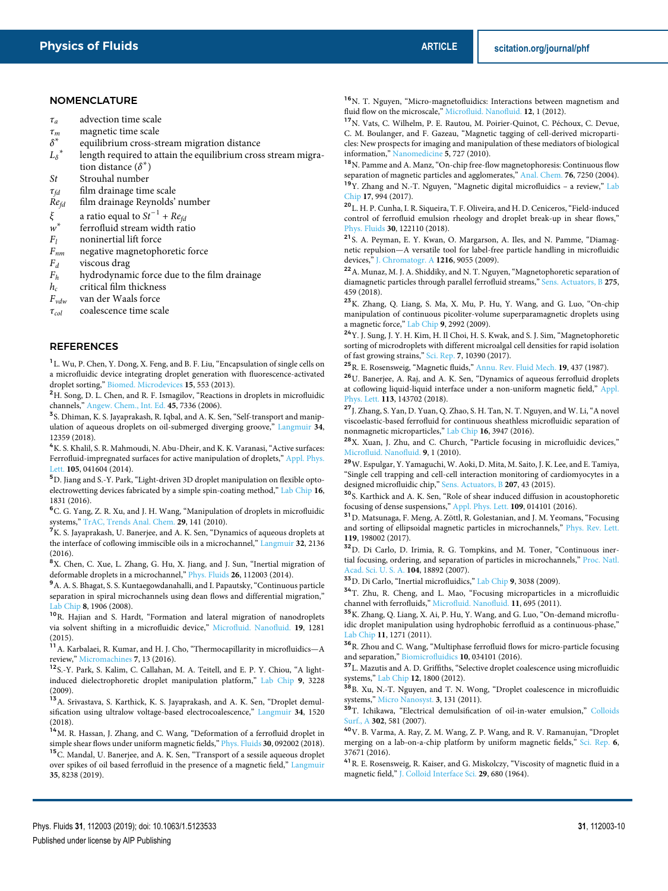#### NOMENCLATURE

- *τ<sup>a</sup>* advection time scale
- *τ<sup>m</sup>* magnetic time scale
- *δ* ∗ equilibrium cross-stream migration distance
- *Lδ* ∗ length required to attain the equilibrium cross stream migra-
- tion distance (*δ* ∗ )
- *St* Strouhal number
- *τfd* film drainage time scale
- *Refd* film drainage Reynolds' number
- $\xi$  a ratio equal to  $St^{-1} + Re_{fd}$
- *w* ∗ ferrofluid stream width ratio
- 
- $F_l$  noninertial lift force<br> $F_{nm}$  negative magnetophenes  $F_{nm}$  negative magnetophoretic force  $F_d$  viscous drag
- *F<sup>d</sup>* viscous drag
- *F<sup>h</sup>* hydrodynamic force due to the film drainage
- *h<sup>c</sup>* critical film thickness
- *Fvdw* van der Waals force
- *τcol* coalescence time scale

#### REFERENCES

<sup>1</sup>L. Wu, P. Chen, Y. Dong, X. Feng, and B. F. Liu, "Encapsulation of single cells on a microfluidic device integrating droplet generation with fluorescence-activated droplet sorting," Biomed. Microdevices **15**, 553 (2013).

<sup>2</sup>H. Song, D. L. Chen, and R. F. Ismagilov, "Reactions in droplets in microfluidic channels," Angew. Chem., Int. Ed. **45**, 7336 (2006).

<sup>3</sup> S. Dhiman, K. S. Jayaprakash, R. Iqbal, and A. K. Sen, "Self-transport and manipulation of aqueous droplets on oil-submerged diverging groove," Langmuir **34**, 12359 (2018).

<sup>4</sup>K. S. Khalil, S. R. Mahmoudi, N. Abu-Dheir, and K. K. Varanasi, "Active surfaces: Ferrofluid-impregnated surfaces for active manipulation of droplets," Appl. Phys. Lett. **105**, 041604 (2014).

<sup>5</sup>D. Jiang and S.-Y. Park, "Light-driven 3D droplet manipulation on flexible optoelectrowetting devices fabricated by a simple spin-coating method," Lab Chip **16**, 1831 (2016).

<sup>6</sup>C. G. Yang, Z. R. Xu, and J. H. Wang, "Manipulation of droplets in microfluidic systems," TrAC, Trends Anal. Chem. **29**, 141 (2010).

 $7\mathrm{K}$  S. Jayaprakash, U. Banerjee, and A. K. Sen, "Dynamics of aqueous droplets at the interface of coflowing immiscible oils in a microchannel," Langmuir **32**, 2136 (2016).

<sup>8</sup>X. Chen, C. Xue, L. Zhang, G. Hu, X. Jiang, and J. Sun, "Inertial migration of deformable droplets in a microchannel," Phys. Fluids **26**, 112003 (2014).

<sup>9</sup>A. A. S. Bhagat, S. S. Kuntaegowdanahalli, and I. Papautsky, "Continuous particle separation in spiral microchannels using dean flows and differential migration," Lab Chip **8**, 1906 (2008).

<sup>10</sup>R. Hajian and S. Hardt, "Formation and lateral migration of nanodroplets via solvent shifting in a microfluidic device," Microfluid. Nanofluid. **19**, 1281 (2015).

<sup>11</sup>A. Karbalaei, R. Kumar, and H. J. Cho, "Thermocapillarity in microfluidics—A review," Micromachines **7**, 13 (2016).

<sup>12</sup>S.-Y. Park, S. Kalim, C. Callahan, M. A. Teitell, and E. P. Y. Chiou, "A lightinduced dielectrophoretic droplet manipulation platform," Lab Chip **9**, 3228 (2009).

<sup>13</sup> A. Srivastava, S. Karthick, K. S. Jayaprakash, and A. K. Sen, "Droplet demulsification using ultralow voltage-based electrocoalescence," Langmuir **34**, 1520 (2018).

<sup>14</sup>M. R. Hassan, J. Zhang, and C. Wang, "Deformation of a ferrofluid droplet in simple shear flows under uniform magnetic fields," Phys. Fluids **30**, 092002 (2018). <sup>15</sup>C. Mandal, U. Banerjee, and A. K. Sen, "Transport of a sessile aqueous droplet

over spikes of oil based ferrofluid in the presence of a magnetic field," Langmuir **35**, 8238 (2019).

<sup>16</sup>N. T. Nguyen, "Micro-magnetofluidics: Interactions between magnetism and fluid flow on the microscale," Microfluid. Nanofluid. **12**, 1 (2012).

<sup>17</sup>N. Vats, C. Wilhelm, P. E. Rautou, M. Poirier-Quinot, C. Péchoux, C. Devue, C. M. Boulanger, and F. Gazeau, "Magnetic tagging of cell-derived microparticles: New prospects for imaging and manipulation of these mediators of biological information," Nanomedicine **5**, 727 (2010).

 $^{18}{\rm N}$  . Pamme and A. Manz, "On-chip free-flow magnetophoresis: Continuous flow separation of magnetic particles and agglomerates," Anal. Chem. **76**, 7250 (2004). <sup>19</sup>Y. Zhang and N.-T. Nguyen, "Magnetic digital microfluidics – a review," Lab Chip **17**, 994 (2017).

<sup>20</sup>L. H. P. Cunha, I. R. Siqueira, T. F. Oliveira, and H. D. Ceniceros, "Field-induced control of ferrofluid emulsion rheology and droplet break-up in shear flows," Phys. Fluids **30**, 122110 (2018).

<sup>21</sup>S. A. Peyman, E. Y. Kwan, O. Margarson, A. Iles, and N. Pamme, "Diamagnetic repulsion—A versatile tool for label-free particle handling in microfluidic devices," J. Chromatogr. A **1216**, 9055 (2009).

 $^{\sf 22}$  A. Munaz, M. J. A. Shiddiky, and N. T. Nguyen, "Magnetophoretic separation of diamagnetic particles through parallel ferrofluid streams," Sens. Actuators, B **275**, 459 (2018).

<sup>23</sup>K. Zhang, Q. Liang, S. Ma, X. Mu, P. Hu, Y. Wang, and G. Luo, "On-chip manipulation of continuous picoliter-volume superparamagnetic droplets using a magnetic force," Lab Chip **9**, 2992 (2009).

<sup>24</sup>Y. J. Sung, J. Y. H. Kim, H. Il Choi, H. S. Kwak, and S. J. Sim, "Magnetophoretic sorting of microdroplets with different microalgal cell densities for rapid isolation of fast growing strains," Sci. Rep. **7**, 10390 (2017).

<sup>25</sup>R. E. Rosensweig, "Magnetic fluids," Annu. Rev. Fluid Mech. **19**, 437 (1987).

<sup>26</sup>U. Banerjee, A. Raj, and A. K. Sen, "Dynamics of aqueous ferrofluid droplets at coflowing liquid-liquid interface under a non-uniform magnetic field," Appl. Phys. Lett. **113**, 143702 (2018).

<sup>27</sup>J. Zhang, S. Yan, D. Yuan, Q. Zhao, S. H. Tan, N. T. Nguyen, and W. Li, "A novel viscoelastic-based ferrofluid for continuous sheathless microfluidic separation of nonmagnetic microparticles," Lab Chip **16**, 3947 (2016).

<sup>28</sup>X. Xuan, J. Zhu, and C. Church, "Particle focusing in microfluidic devices," Microfluid. Nanofluid. **9**, 1 (2010).

<sup>29</sup>W. Espulgar, Y. Yamaguchi, W. Aoki, D. Mita, M. Saito, J. K. Lee, and E. Tamiya, "Single cell trapping and cell-cell interaction monitoring of cardiomyocytes in a designed microfluidic chip," Sens. Actuators, B **207**, 43 (2015).

<sup>30</sup>S. Karthick and A. K. Sen, "Role of shear induced diffusion in acoustophoretic focusing of dense suspensions," Appl. Phys. Lett. **109**, 014101 (2016).

<sup>31</sup>D. Matsunaga, F. Meng, A. Zöttl, R. Golestanian, and J. M. Yeomans, "Focusing and sorting of ellipsoidal magnetic particles in microchannels," Phys. Rev. Lett. **119**, 198002 (2017).

<sup>32</sup>D. Di Carlo, D. Irimia, R. G. Tompkins, and M. Toner, "Continuous inertial focusing, ordering, and separation of particles in microchannels," Proc. Natl. Acad. Sci. U. S. A. **104**, 18892 (2007).

<sup>33</sup>D. Di Carlo, "Inertial microfluidics," Lab Chip **9**, 3038 (2009).

<sup>34</sup>T. Zhu, R. Cheng, and L. Mao, "Focusing microparticles in a microfluidic channel with ferrofluids," Microfluid. Nanofluid. **11**, 695 (2011).

<sup>35</sup>K. Zhang, Q. Liang, X. Ai, P. Hu, Y. Wang, and G. Luo, "On-demand microfluidic droplet manipulation using hydrophobic ferrofluid as a continuous-phase," Lab Chip **11**, 1271 (2011).

 ${\bf ^{36}R}$  Zhou and C. Wang, "Multiphase ferrofluid flows for micro-particle focusing and separation," Biomicrofluidics **10**, 034101 (2016).

<sup>37</sup>L. Mazutis and A. D. Griffiths, "Selective droplet coalescence using microfluidic systems," Lab Chip **12**, 1800 (2012).

<sup>38</sup>B. Xu, N.-T. Nguyen, and T. N. Wong, "Droplet coalescence in microfluidic systems," Micro Nanosyst. **3**, 131 (2011).

<sup>39</sup>T. Ichikawa, "Electrical demulsification of oil-in-water emulsion," Colloids Surf., A **302**, 581 (2007).

<sup>40</sup>V. B. Varma, A. Ray, Z. M. Wang, Z. P. Wang, and R. V. Ramanujan, "Droplet merging on a lab-on-a-chip platform by uniform magnetic fields," Sci. Rep. **6**, 37671 (2016).

<sup>41</sup>R. E. Rosensweig, R. Kaiser, and G. Miskolczy, "Viscosity of magnetic fluid in a magnetic field," J. Colloid Interface Sci. **29**, 680 (1964).